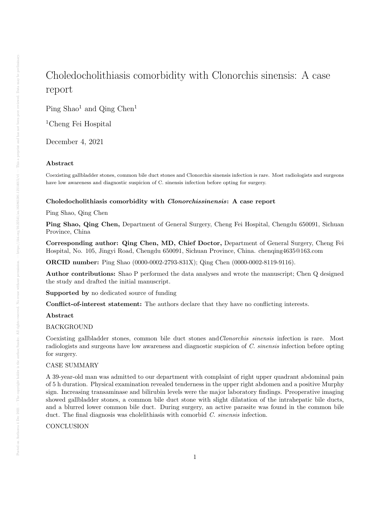# Choledocholithiasis comorbidity with Clonorchis sinensis: A case report

Ping  $Shao<sup>1</sup>$  and  $Qing Chen<sup>1</sup>$ 

<sup>1</sup>Cheng Fei Hospital

December 4, 2021

# Abstract

Coexisting gallbladder stones, common bile duct stones and Clonorchis sinensis infection is rare. Most radiologists and surgeons have low awareness and diagnostic suspicion of C. sinensis infection before opting for surgery.

## Choledocholithiasis comorbidity with Clonorchissinensis: A case report

Ping Shao, Qing Chen

Ping Shao, Qing Chen, Department of General Surgery, Cheng Fei Hospital, Chengdu 650091, Sichuan Province, China

Corresponding author: Qing Chen, MD, Chief Doctor, Department of General Surgery, Cheng Fei Hospital, No. 105, Jingyi Road, Chengdu 650091, Sichuan Province, China. chenqing4635@163.com

ORCID number: Ping Shao (0000-0002-2793-831X); Qing Chen (0000-0002-8119-9116).

Author contributions: Shao P performed the data analyses and wrote the manuscript; Chen Q designed the study and drafted the initial manuscript.

Supported by no dedicated source of funding

Conflict-of-interest statement: The authors declare that they have no conflicting interests.

## Abstract

# **BACKGROUND**

Coexisting gallbladder stones, common bile duct stones and *Clonorchis sinensis* infection is rare. Most radiologists and surgeons have low awareness and diagnostic suspicion of C. sinensis infection before opting for surgery.

## CASE SUMMARY

A 39-year-old man was admitted to our department with complaint of right upper quadrant abdominal pain of 5 h duration. Physical examination revealed tenderness in the upper right abdomen and a positive Murphy sign. Increasing transaminase and bilirubin levels were the major laboratory findings. Preoperative imaging showed gallbladder stones, a common bile duct stone with slight dilatation of the intrahepatic bile ducts, and a blurred lower common bile duct. During surgery, an active parasite was found in the common bile duct. The final diagnosis was cholelithiasis with comorbid C. sinensis infection.

**CONCLUSION**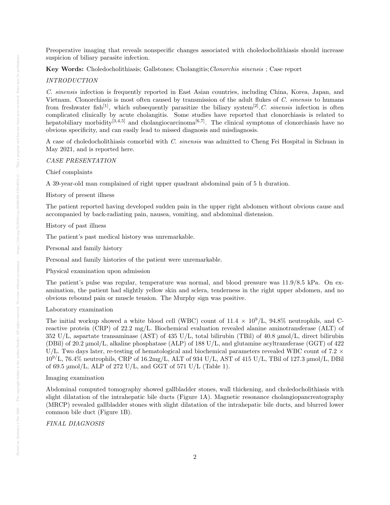Preoperative imaging that reveals nonspecific changes associated with choledocholithiasis should increase suspicion of biliary parasite infection.

Key Words: Choledocholithiasis; Gallstones; Cholangitis;Clonorchis sinensis ; Case report

## INTRODUCTION

C. sinensis infection is frequently reported in East Asian countries, including China, Korea, Japan, and Vietnam. Clonorchiasis is most often caused by transmission of the adult flukes of C. sinensis to humans from freshwater fish<sup>[1]</sup>, which subsequently parasitize the biliary system<sup>[2]</sup>.C. sinensis infection is often complicated clinically by acute cholangitis. Some studies have reported that clonorchiasis is related to hepatobiliary morbidity<sup>[3,4,5]</sup> and cholangiocarcinoma<sup>[6,7]</sup>. The clinical symptoms of clonorchiasis have no obvious specificity, and can easily lead to missed diagnosis and misdiagnosis.

A case of choledocholithiasis comorbid with C. sinensis was admitted to Cheng Fei Hospital in Sichuan in May 2021, and is reported here.

CASE PRESENTATION

Chief complaints

A 39-year-old man complained of right upper quadrant abdominal pain of 5 h duration.

History of present illness

The patient reported having developed sudden pain in the upper right abdomen without obvious cause and accompanied by back-radiating pain, nausea, vomiting, and abdominal distension.

#### History of past illness

The patient's past medical history was unremarkable.

Personal and family history

Personal and family histories of the patient were unremarkable.

Physical examination upon admission

The patient's pulse was regular, temperature was normal, and blood pressure was 11.9/8.5 kPa. On examination, the patient had slightly yellow skin and sclera, tenderness in the right upper abdomen, and no obvious rebound pain or muscle tension. The Murphy sign was positive.

#### Laboratory examination

The initial workup showed a white blood cell (WBC) count of  $11.4 \times 10^9$ /L,  $94.8\%$  neutrophils, and Creactive protein (CRP) of 22.2 mg/L. Biochemical evaluation revealed alanine aminotransferase (ALT) of 352 U/L, aspartate transaminase (AST) of 435 U/L, total bilirubin (TBil) of 40.8 μmol/L, direct bilirubin (DBil) of 20.2 μmol/L, alkaline phosphatase (ALP) of 188 U/L, and glutamine acyltransferase (GGT) of 422 U/L. Two days later, re-testing of hematological and biochemical parameters revealed WBC count of 7.2  $\times$  $10^{9}/L$ , 76.4% neutrophils, CRP of 16.2mg/L, ALT of 934 U/L, AST of 415 U/L, TBil of 127.3 µmol/L, DBil of 69.5  $\mu$ mol/L, ALP of 272 U/L, and GGT of 571 U/L (Table 1).

#### Imaging examination

Abdominal computed tomography showed gallbladder stones, wall thickening, and choledocholithiasis with slight dilatation of the intrahepatic bile ducts (Figure 1A). Magnetic resonance cholangiopancreatography (MRCP) revealed gallbladder stones with slight dilatation of the intrahepatic bile ducts, and blurred lower common bile duct (Figure 1B).

## FINAL DIAGNOSIS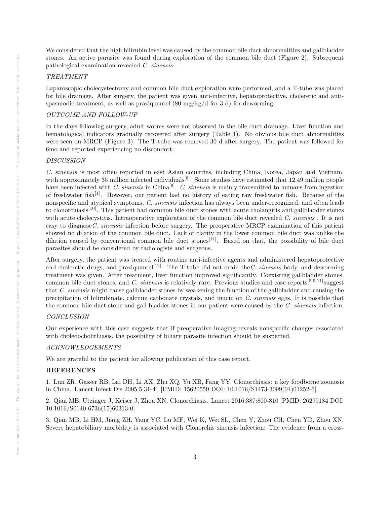We considered that the high bilirubin level was caused by the common bile duct abnormalities and gallbladder stones. An active parasite was found during exploration of the common bile duct (Figure 2). Subsequent pathological examination revealed C. sinensis .

## TREATMENT

Laparoscopic cholecystectomy and common bile duct exploration were performed, and a T-tube was placed for bile drainage. After surgery, the patient was given anti-infective, hepatoprotective, choleretic and antispasmodic treatment, as well as praziquantel  $(80 \text{ mg/kg/d} \text{ for } 3 \text{ d})$  for deworming.

## OUTCOME AND FOLLOW-UP

In the days following surgery, adult worms were not observed in the bile duct drainage. Liver function and hematological indicators gradually recovered after surgery (Table 1). No obvious bile duct abnormalities were seen on MRCP (Figure 3). The T-tube was removed 30 d after surgery. The patient was followed for 6mo and reported experiencing no discomfort.

## DISCUSSION

C. sinensis is most often reported in east Asian countries, including China, Korea, Japan and Vietnam, with approximately 35 million infected individuals<sup>[8]</sup>. Some studies have estimated that 12.49 million people have been infected with C. sinensis in China<sup>[9]</sup>. C. sinensis is mainly transmitted to humans from ingestion of freshwater fish<sup>[1]</sup>. However, our patient had no history of eating raw freshwater fish. Because of the nonspecific and atypical symptoms, C. sinensis infection has always been under-recognized, and often leads to clonorchiasis[10]. This patient had common bile duct stones with acute cholangitis and gallbladder stones with acute cholecystitis. Intraoperative exploration of the common bile duct revealed C. sinensis. It is not easy to diagnoseC. sinensis infection before surgery. The preoperative MRCP examination of this patient showed no dilation of the common bile duct. Lack of clarity in the lower common bile duct was unlike the dilation caused by conventional common bile duct stones<sup>[11]</sup>. Based on that, the possibility of bile duct parasites should be considered by radiologists and surgeons.

After surgery, the patient was treated with routine anti-infective agents and administered hepatoprotective and choleretic drugs, and praziquantel<sup>[12]</sup>. The T-tube did not drain the C. sinensis body, and deworming treatment was given. After treatment, liver function improved significantly. Coexisting gallbladder stones, common bile duct stones, and C. sinensis is relatively rare. Previous studies and case reports<sup>[5,9,11]</sup>suggest that C. sinensis might cause gallbladder stones by weakening the function of the gallbladder and causing the precipitation of bilirubinate, calcium carbonate crystals, and mucin on C. sinensis eggs. It is possible that the common bile duct stone and gall bladder stones in our patient were caused by the  $C$  sinensis infection.

## CONCLUSION

Our experience with this case suggests that if preoperative imaging reveals nonspecific changes associated with choledocholithiasis, the possibility of biliary parasite infection should be suspected.

#### ACKNOWLEDGEMENTS

We are grateful to the patient for allowing publication of this case report.

#### REFERENCES

1. Lun ZR, Gasser RB, Lai DH, Li AX, Zhu XQ, Yu XB, Fang YY. Clonorchiasis: a key foodborne zoonosis in China. Lancet Infect Dis 2005;5:31-41 [PMID: 15620559 DOI: 10.1016/S1473-3099(04)01252-6]

2. Qian MB, Utzinger J, Keiser J, Zhou XN. Clonorchiasis. Lancet 2016;387:800-810 [PMID: 26299184 DOI: 10.1016/S0140-6736(15)60313-0]

3. Qian MB, Li HM, Jiang ZH, Yang YC, Lu MF, Wei K, Wei SL, Chen Y, Zhou CH, Chen YD, Zhou XN. Severe hepatobiliary morbidity is associated with Clonorchis sinensis infection: The evidence from a cross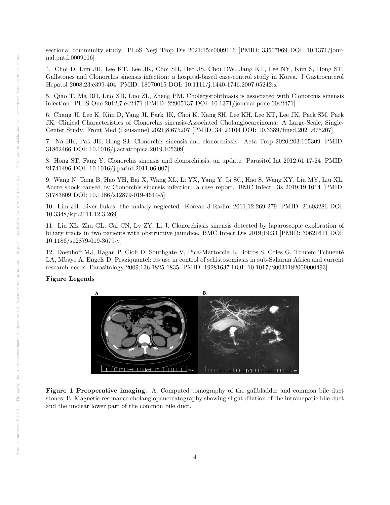sectional community study. PLoS Negl Trop Dis 2021;15:e0009116 [PMID: 33507969 DOI: 10.1371/journal.pntd.0009116]

4. Choi D, Lim JH, Lee KT, Lee JK, Choi SH, Heo JS, Choi DW, Jang KT, Lee NY, Kim S, Hong ST. Gallstones and Clonorchis sinensis infection: a hospital-based case-control study in Korea. J Gastroenterol Hepatol 2008;23:e399-404 [PMID: 18070015 DOI: 10.1111/j.1440-1746.2007.05242.x]

5. Qiao T, Ma RH, Luo XB, Luo ZL, Zheng PM. Cholecystolithiasis is associated with Clonorchis sinensis infection. PLoS One 2012;7:e42471 [PMID: 22905137 DOI: 10.1371/journal.pone.0042471]

6. Chang JI, Lee K, Kim D, Yang JI, Park JK, Choi K, Kang SH, Lee KH, Lee KT, Lee JK, Park SM, Park JK. Clinical Characteristics of Clonorchis sinensis-Associated Cholangiocarcinoma: A Large-Scale, Single-Center Study. Front Med (Lausanne) 2021;8:675207 [PMID: 34124104 DOI: 10.3389/fmed.2021.675207]

7. Na BK, Pak JH, Hong SJ. Clonorchis sinensis and clonorchiasis. Acta Trop 2020;203:105309 [PMID: 31862466 DOI: 10.1016/j.actatropica.2019.105309]

8. Hong ST, Fang Y. Clonorchis sinensis and clonorchiasis, an update. Parasitol Int 2012;61:17-24 [PMID: 21741496 DOI: 10.1016/j.parint.2011.06.007]

9. Wang N, Tang B, Hao YH, Bai X, Wang XL, Li YX, Yang Y, Li SC, Hao S, Wang XY, Liu MY, Liu XL. Acute shock caused by Clonorchis sinensis infection: a case report. BMC Infect Dis 2019;19:1014 [PMID: 31783809 DOI: 10.1186/s12879-019-4644-5]

10. Lim JH. Liver flukes: the malady neglected. Korean J Radiol 2011;12:269-279 [PMID: 21603286 DOI: 10.3348/kjr.2011.12.3.269]

11. Liu XL, Zhu GL, Cai CN, Lv ZY, Li J. Clonorchiasis sinensis detected by laparoscopic exploration of biliary tracts in two patients with obstructive jaundice. BMC Infect Dis 2019;19:33 [PMID: 30621611 DOI: 10.1186/s12879-019-3679-y]

12. Doenhoff MJ, Hagan P, Cioli D, Southgate V, Pica-Mattoccia L, Botros S, Coles G, Tchuem Tchuenté LA, Mbaye A, Engels D. Praziquantel: its use in control of schistosomiasis in sub-Saharan Africa and current research needs. Parasitology 2009;136:1825-1835 [PMID: 19281637 DOI: 10.1017/S0031182009000493]

## Figure Legends



Figure 1 Preoperative imaging. A: Computed tomography of the gallbladder and common bile duct stones; B: Magnetic resonance cholangiopancreatography showing slight dilation of the intrahepatic bile duct and the unclear lower part of the common bile duct.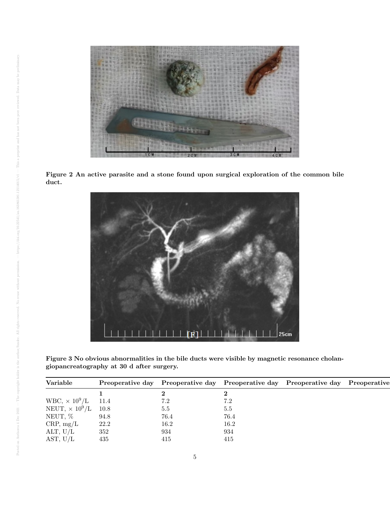

Figure 2 An active parasite and a stone found upon surgical exploration of the common bile duct.



Figure 3 No obvious abnormalities in the bile ducts were visible by magnetic resonance cholangiopancreatography at 30 d after surgery.

| Variable                      | Preoperative day |      | Preoperative day Preoperative day Preoperative day | Preoperative |
|-------------------------------|------------------|------|----------------------------------------------------|--------------|
|                               |                  |      |                                                    |              |
| $WBC$ , $\times 10^9$ /L 11.4 |                  | 7.2  |                                                    |              |
| NEUT, $\times 10^9/L$ 10.8    |                  | 5.5  | 5.5                                                |              |
| NEUT, %                       | 94.8             | 76.4 | 76.4                                               |              |
| CRP, mg/L                     | 22.2             | 16.2 | 16.2                                               |              |
| ALT, $U/L$                    | 352              | 934  | 934                                                |              |
| AST, $U/L$                    | 435              | 415  | 415                                                |              |